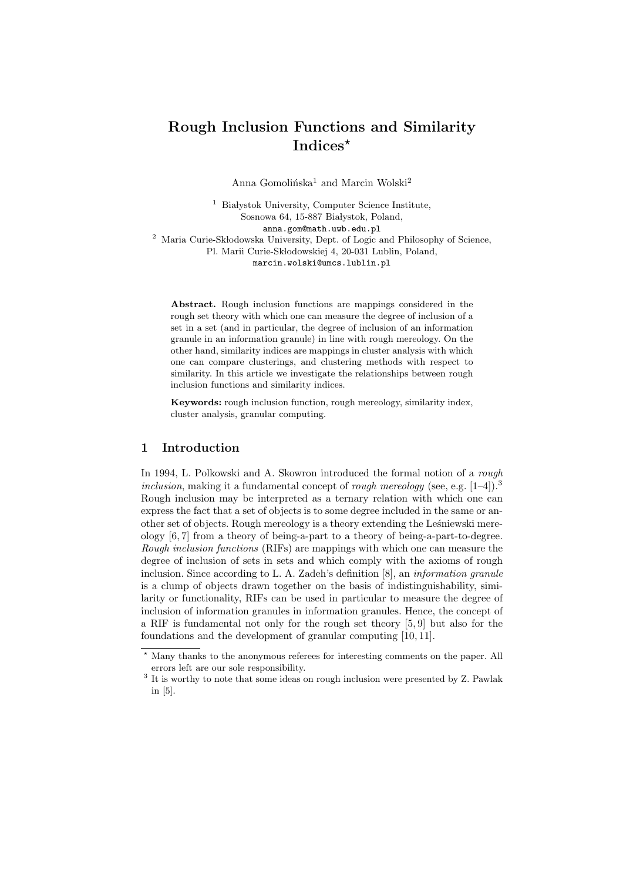# Rough Inclusion Functions and Similarity Indices\*

Anna Gomolińska<sup>1</sup> and Marcin Wolski<sup>2</sup>

 $1$  Białystok University, Computer Science Institute, Sosnowa 64, 15-887 Białystok, Poland, anna.gom@math.uwb.edu.pl  $^2\,$ Maria Curie-Skłodowska University, Dept. of Logic and Philosophy of Science, Pl. Marii Curie-Skłodowskiej 4, 20-031 Lublin, Poland, marcin.wolski@umcs.lublin.pl

Abstract. Rough inclusion functions are mappings considered in the rough set theory with which one can measure the degree of inclusion of a set in a set (and in particular, the degree of inclusion of an information granule in an information granule) in line with rough mereology. On the other hand, similarity indices are mappings in cluster analysis with which one can compare clusterings, and clustering methods with respect to similarity. In this article we investigate the relationships between rough inclusion functions and similarity indices.

Keywords: rough inclusion function, rough mereology, similarity index, cluster analysis, granular computing.

# 1 Introduction

In 1994, L. Polkowski and A. Skowron introduced the formal notion of a rough inclusion, making it a fundamental concept of rough mereology (see, e.g.  $[1-4]$ ).<sup>3</sup> Rough inclusion may be interpreted as a ternary relation with which one can express the fact that a set of objects is to some degree included in the same or another set of objects. Rough mereology is a theory extending the Leśniewski mereology [6, 7] from a theory of being-a-part to a theory of being-a-part-to-degree. Rough inclusion functions (RIFs) are mappings with which one can measure the degree of inclusion of sets in sets and which comply with the axioms of rough inclusion. Since according to L. A. Zadeh's definition [8], an information granule is a clump of objects drawn together on the basis of indistinguishability, similarity or functionality, RIFs can be used in particular to measure the degree of inclusion of information granules in information granules. Hence, the concept of a RIF is fundamental not only for the rough set theory [5, 9] but also for the foundations and the development of granular computing [10, 11].

<sup>?</sup> Many thanks to the anonymous referees for interesting comments on the paper. All errors left are our sole responsibility.

<sup>&</sup>lt;sup>3</sup> It is worthy to note that some ideas on rough inclusion were presented by Z. Pawlak in [5].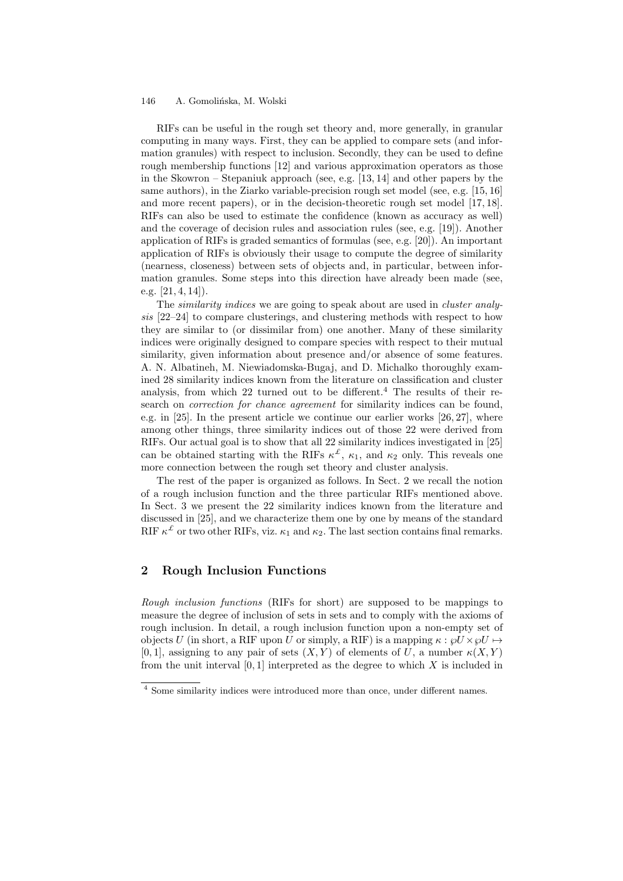RIFs can be useful in the rough set theory and, more generally, in granular computing in many ways. First, they can be applied to compare sets (and information granules) with respect to inclusion. Secondly, they can be used to define rough membership functions [12] and various approximation operators as those in the Skowron – Stepaniuk approach (see, e.g. [13, 14] and other papers by the same authors), in the Ziarko variable-precision rough set model (see, e.g. [15, 16] and more recent papers), or in the decision-theoretic rough set model [17, 18]. RIFs can also be used to estimate the confidence (known as accuracy as well) and the coverage of decision rules and association rules (see, e.g. [19]). Another application of RIFs is graded semantics of formulas (see, e.g. [20]). An important application of RIFs is obviously their usage to compute the degree of similarity (nearness, closeness) between sets of objects and, in particular, between information granules. Some steps into this direction have already been made (see, e.g. [21, 4, 14]).

The *similarity indices* we are going to speak about are used in *cluster analy*sis [22–24] to compare clusterings, and clustering methods with respect to how they are similar to (or dissimilar from) one another. Many of these similarity indices were originally designed to compare species with respect to their mutual similarity, given information about presence and/or absence of some features. A. N. Albatineh, M. Niewiadomska-Bugaj, and D. Michalko thoroughly examined 28 similarity indices known from the literature on classification and cluster analysis, from which  $22$  turned out to be different.<sup>4</sup> The results of their research on *correction for chance agreement* for similarity indices can be found, e.g. in [25]. In the present article we continue our earlier works [26, 27], where among other things, three similarity indices out of those 22 were derived from RIFs. Our actual goal is to show that all 22 similarity indices investigated in [25] can be obtained starting with the RIFs  $\kappa^{\mathcal{L}}$ ,  $\kappa_1$ , and  $\kappa_2$  only. This reveals one more connection between the rough set theory and cluster analysis.

The rest of the paper is organized as follows. In Sect. 2 we recall the notion of a rough inclusion function and the three particular RIFs mentioned above. In Sect. 3 we present the 22 similarity indices known from the literature and discussed in [25], and we characterize them one by one by means of the standard RIF  $\kappa^{\mathcal{L}}$  or two other RIFs, viz.  $\kappa_1$  and  $\kappa_2$ . The last section contains final remarks.

# 2 Rough Inclusion Functions

Rough inclusion functions (RIFs for short) are supposed to be mappings to measure the degree of inclusion of sets in sets and to comply with the axioms of rough inclusion. In detail, a rough inclusion function upon a non-empty set of objects U (in short, a RIF upon U or simply, a RIF) is a mapping  $\kappa : \mathcal{O} \times \mathcal{O} \rightarrow$ [0, 1], assigning to any pair of sets  $(X, Y)$  of elements of U, a number  $\kappa(X, Y)$ from the unit interval  $[0, 1]$  interpreted as the degree to which  $X$  is included in

<sup>4</sup> Some similarity indices were introduced more than once, under different names.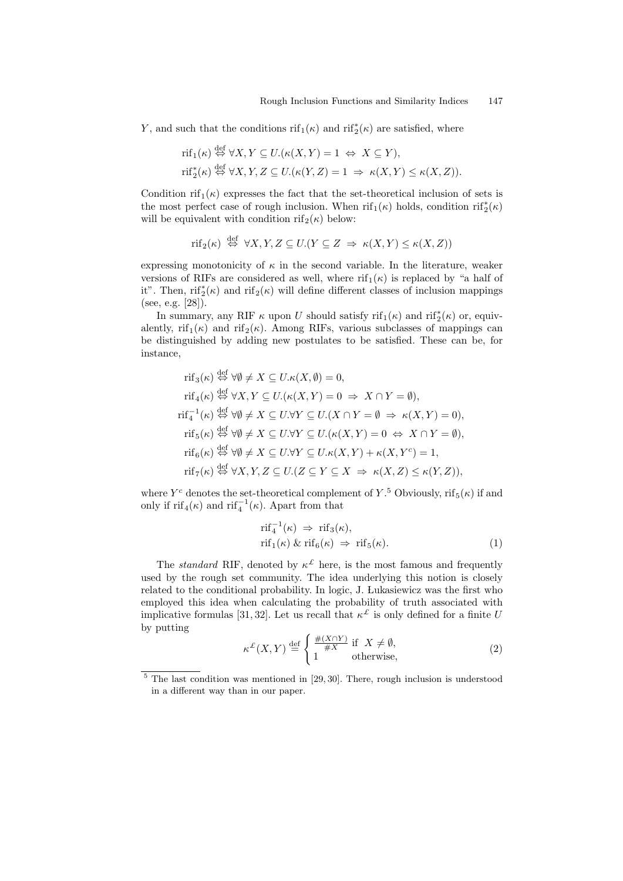Y, and such that the conditions  $\inf_1(\kappa)$  and  $\inf_2^*(\kappa)$  are satisfied, where

$$
\begin{aligned} &\text{rif}_1(\kappa) \stackrel{\text{def}}{\Leftrightarrow} \forall X, Y \subseteq U.(\kappa(X, Y) = 1 \Leftrightarrow X \subseteq Y), \\ &\text{rif}_2^*(\kappa) \stackrel{\text{def}}{\Leftrightarrow} \forall X, Y, Z \subseteq U.(\kappa(Y, Z) = 1 \Rightarrow \kappa(X, Y) \le \kappa(X, Z)). \end{aligned}
$$

Condition rif<sub>1</sub>( $\kappa$ ) expresses the fact that the set-theoretical inclusion of sets is the most perfect case of rough inclusion. When  $\mathrm{rif}_1(\kappa)$  holds, condition  $\mathrm{rif}_2^*(\kappa)$ will be equivalent with condition rif<sub>2</sub>( $\kappa$ ) below:

$$
rif_2(\kappa) \stackrel{\text{def}}{\Leftrightarrow} \forall X, Y, Z \subseteq U. (Y \subseteq Z \implies \kappa(X, Y) \le \kappa(X, Z))
$$

expressing monotonicity of  $\kappa$  in the second variable. In the literature, weaker versions of RIFs are considered as well, where  $\text{rif}_{1}(\kappa)$  is replaced by "a half of it". Then,  $\text{rif}_2^*(\kappa)$  and  $\text{rif}_2(\kappa)$  will define different classes of inclusion mappings (see, e.g. [28]).

In summary, any RIF  $\kappa$  upon U should satisfy rif<sub>1</sub>( $\kappa$ ) and rif<sup>\*</sup><sub>2</sub>( $\kappa$ ) or, equivalently, rif<sub>1</sub>(κ) and rif<sub>2</sub>(κ). Among RIFs, various subclasses of mappings can be distinguished by adding new postulates to be satisfied. These can be, for instance,

$$
\text{rif}_{3}(\kappa) \stackrel{\text{def}}{\Leftrightarrow} \forall \emptyset \neq X \subseteq U.\kappa(X, \emptyset) = 0,
$$
\n
$$
\text{rif}_{4}(\kappa) \stackrel{\text{def}}{\Leftrightarrow} \forall X, Y \subseteq U.(\kappa(X, Y) = 0 \Rightarrow X \cap Y = \emptyset),
$$
\n
$$
\text{rif}_{4}^{-1}(\kappa) \stackrel{\text{def}}{\Leftrightarrow} \forall \emptyset \neq X \subseteq U.\forall Y \subseteq U.(X \cap Y = \emptyset \Rightarrow \kappa(X, Y) = 0),
$$
\n
$$
\text{rif}_{5}(\kappa) \stackrel{\text{def}}{\Leftrightarrow} \forall \emptyset \neq X \subseteq U.\forall Y \subseteq U.(\kappa(X, Y) = 0 \Leftrightarrow X \cap Y = \emptyset),
$$
\n
$$
\text{rif}_{6}(\kappa) \stackrel{\text{def}}{\Leftrightarrow} \forall \emptyset \neq X \subseteq U.\forall Y \subseteq U.\kappa(X, Y) + \kappa(X, Y^{c}) = 1,
$$
\n
$$
\text{rif}_{7}(\kappa) \stackrel{\text{def}}{\Leftrightarrow} \forall X, Y, Z \subseteq U. (Z \subseteq Y \subseteq X \Rightarrow \kappa(X, Z) \leq \kappa(Y, Z)),
$$

where  $Y^c$  denotes the set-theoretical complement of  $Y$ .<sup>5</sup> Obviously, rif<sub>5</sub>( $\kappa$ ) if and only if  $\text{rif}_4(\kappa)$  and  $\text{rif}_4^{-1}(\kappa)$ . Apart from that

$$
\text{rif}_{4}^{-1}(\kappa) \Rightarrow \text{rif}_{3}(\kappa),\n\text{rif}_{1}(\kappa) \& \text{rif}_{6}(\kappa) \Rightarrow \text{rif}_{5}(\kappa).
$$
\n(1)

The *standard* RIF, denoted by  $\kappa^{\mathcal{L}}$  here, is the most famous and frequently used by the rough set community. The idea underlying this notion is closely related to the conditional probability. In logic, J. Lukasiewicz was the first who employed this idea when calculating the probability of truth associated with implicative formulas [31, 32]. Let us recall that  $\kappa^{\mathcal{L}}$  is only defined for a finite U by putting

$$
\kappa^{\mathcal{L}}(X,Y) \stackrel{\text{def}}{=} \begin{cases} \frac{\#(X \cap Y)}{\#X} & \text{if } X \neq \emptyset, \\ 1 & \text{otherwise,} \end{cases}
$$
 (2)

<sup>5</sup> The last condition was mentioned in [29, 30]. There, rough inclusion is understood in a different way than in our paper.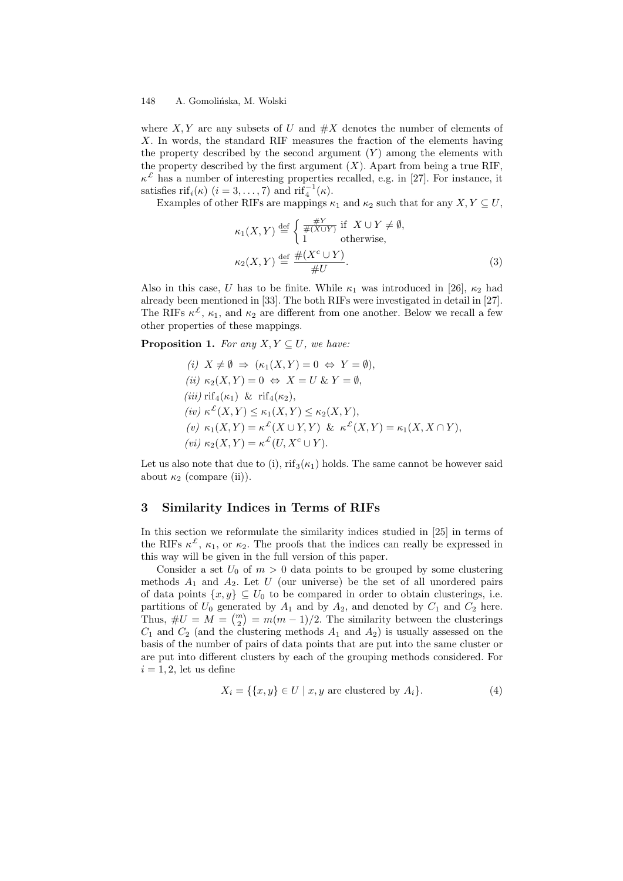where  $X, Y$  are any subsets of U and  $\#X$  denotes the number of elements of X. In words, the standard RIF measures the fraction of the elements having the property described by the second argument  $(Y)$  among the elements with the property described by the first argument  $(X)$ . Apart from being a true RIF,  $\kappa^{\mathcal{L}}$  has a number of interesting properties recalled, e.g. in [27]. For instance, it satisfies  $\text{rif}_i(\kappa)$   $(i = 3, \ldots, 7)$  and  $\text{rif}_4^{-1}(\kappa)$ .

Examples of other RIFs are mappings  $\kappa_1$  and  $\kappa_2$  such that for any  $X, Y \subseteq U$ ,

$$
\kappa_1(X, Y) \stackrel{\text{def}}{=} \begin{cases} \frac{\#Y}{\#(X \cup Y)} & \text{if } X \cup Y \neq \emptyset, \\ 1 & \text{otherwise,} \end{cases}
$$
  

$$
\kappa_2(X, Y) \stackrel{\text{def}}{=} \frac{\#(X^c \cup Y)}{\#U}.
$$
 (3)

Also in this case, U has to be finite. While  $\kappa_1$  was introduced in [26],  $\kappa_2$  had already been mentioned in [33]. The both RIFs were investigated in detail in [27]. The RIFs  $\kappa^{\mathcal{L}}$ ,  $\kappa_1$ , and  $\kappa_2$  are different from one another. Below we recall a few other properties of these mappings.

**Proposition 1.** For any  $X, Y \subseteq U$ , we have:

(i) 
$$
X \neq \emptyset \Rightarrow (\kappa_1(X, Y) = 0 \Leftrightarrow Y = \emptyset),
$$
  
\n(ii)  $\kappa_2(X, Y) = 0 \Leftrightarrow X = U \& Y = \emptyset,$   
\n(iii)  $\text{rif}_4(\kappa_1) \& \text{rif}_4(\kappa_2),$   
\n(iv)  $\kappa^{\mathcal{L}}(X, Y) \leq \kappa_1(X, Y) \leq \kappa_2(X, Y),$   
\n(v)  $\kappa_1(X, Y) = \kappa^{\mathcal{L}}(X \cup Y, Y) \& \kappa^{\mathcal{L}}(X, Y) = \kappa_1(X, X \cap Y),$   
\n(vi)  $\kappa_2(X, Y) = \kappa^{\mathcal{L}}(U, X^c \cup Y).$ 

Let us also note that due to (i),  $\text{rif}_{3}(\kappa_1)$  holds. The same cannot be however said about  $\kappa_2$  (compare (ii)).

## 3 Similarity Indices in Terms of RIFs

In this section we reformulate the similarity indices studied in [25] in terms of the RIFs  $\kappa^2$ ,  $\kappa_1$ , or  $\kappa_2$ . The proofs that the indices can really be expressed in this way will be given in the full version of this paper.

Consider a set  $U_0$  of  $m > 0$  data points to be grouped by some clustering methods  $A_1$  and  $A_2$ . Let U (our universe) be the set of all unordered pairs of data points  $\{x, y\} \subseteq U_0$  to be compared in order to obtain clusterings, i.e. partitions of  $U_0$  generated by  $A_1$  and by  $A_2$ , and denoted by  $C_1$  and  $C_2$  here. Thus,  $\#U = M = \binom{m}{2} = m(m-1)/2$ . The similarity between the clusterings  $C_1$  and  $C_2$  (and the clustering methods  $A_1$  and  $A_2$ ) is usually assessed on the basis of the number of pairs of data points that are put into the same cluster or are put into different clusters by each of the grouping methods considered. For  $i = 1, 2$ , let us define

$$
X_i = \{ \{x, y\} \in U \mid x, y \text{ are clustered by } A_i \}. \tag{4}
$$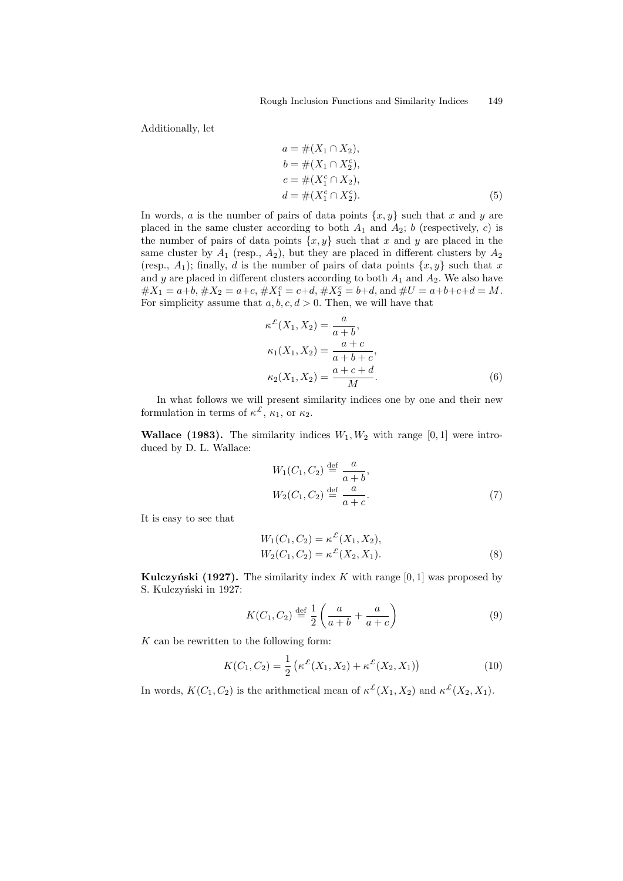Additionally, let

$$
a = #(X_1 \cap X_2),\n b = #(X_1 \cap X_2^c),\n c = #(X_1^c \cap X_2),\n d = #(X_1^c \cap X_2^c).
$$
\n(5)

In words, a is the number of pairs of data points  $\{x, y\}$  such that x and y are placed in the same cluster according to both  $A_1$  and  $A_2$ ; b (respectively, c) is the number of pairs of data points  $\{x, y\}$  such that x and y are placed in the same cluster by  $A_1$  (resp.,  $A_2$ ), but they are placed in different clusters by  $A_2$ (resp.,  $A_1$ ); finally, d is the number of pairs of data points  $\{x, y\}$  such that x and y are placed in different clusters according to both  $A_1$  and  $A_2$ . We also have  $\#X_1 = a+b, \#X_2 = a+c, \#X_1^c = c+d, \#X_2^c = b+d, \text{ and } \#U = a+b+c+d = M.$ For simplicity assume that  $a, b, c, d > 0$ . Then, we will have that

$$
\kappa^{\mathcal{L}}(X_1, X_2) = \frac{a}{a+b},
$$
  
\n
$$
\kappa_1(X_1, X_2) = \frac{a+c}{a+b+c},
$$
  
\n
$$
\kappa_2(X_1, X_2) = \frac{a+c+d}{M}.
$$
\n(6)

In what follows we will present similarity indices one by one and their new formulation in terms of  $\kappa^{\mathcal{L}}$ ,  $\kappa_1$ , or  $\kappa_2$ .

**Wallace (1983).** The similarity indices  $W_1, W_2$  with range [0, 1] were introduced by D. L. Wallace:

$$
W_1(C_1, C_2) \stackrel{\text{def}}{=} \frac{a}{a+b},
$$
  
\n
$$
W_2(C_1, C_2) \stackrel{\text{def}}{=} \frac{a}{a+c}.
$$
\n(7)

It is easy to see that

$$
W_1(C_1, C_2) = \kappa^{\mathcal{L}}(X_1, X_2),
$$
  
\n
$$
W_2(C_1, C_2) = \kappa^{\mathcal{L}}(X_2, X_1).
$$
\n(8)

Kulczyński (1927). The similarity index K with range  $[0, 1]$  was proposed by S. Kulczyński in 1927:

$$
K(C_1, C_2) \stackrel{\text{def}}{=} \frac{1}{2} \left( \frac{a}{a+b} + \frac{a}{a+c} \right) \tag{9}
$$

 $K$  can be rewritten to the following form:

$$
K(C_1, C_2) = \frac{1}{2} \left( \kappa^{\mathcal{L}}(X_1, X_2) + \kappa^{\mathcal{L}}(X_2, X_1) \right)
$$
 (10)

In words,  $K(C_1, C_2)$  is the arithmetical mean of  $\kappa^{\mathcal{L}}(X_1, X_2)$  and  $\kappa^{\mathcal{L}}(X_2, X_1)$ .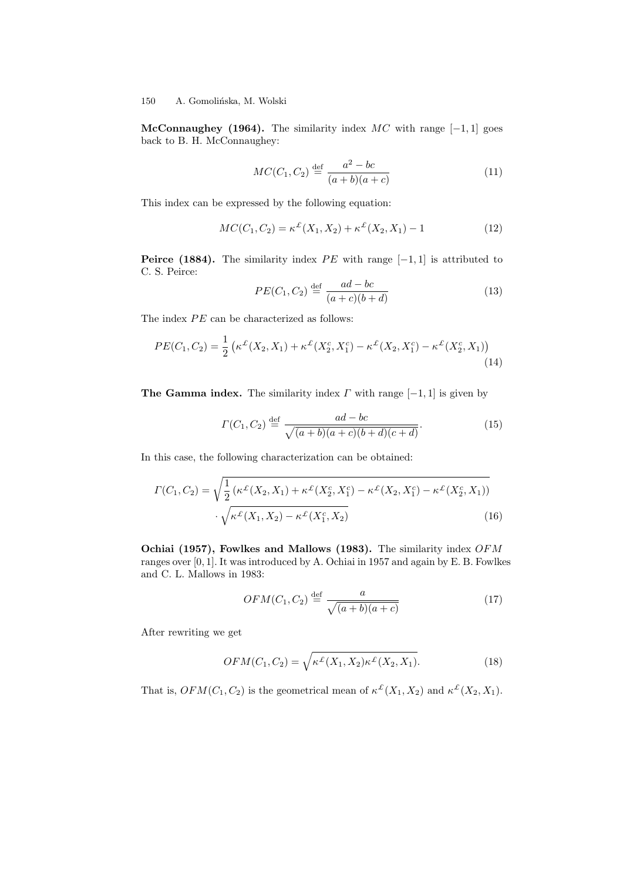McConnaughey (1964). The similarity index  $MC$  with range  $[-1, 1]$  goes back to B. H. McConnaughey:

$$
MC(C_1, C_2) \stackrel{\text{def}}{=} \frac{a^2 - bc}{(a+b)(a+c)}
$$
(11)

This index can be expressed by the following equation:

$$
MC(C_1, C_2) = \kappa^{\mathcal{L}}(X_1, X_2) + \kappa^{\mathcal{L}}(X_2, X_1) - 1 \tag{12}
$$

**Peirce (1884).** The similarity index PE with range  $[-1, 1]$  is attributed to C. S. Peirce:

$$
PE(C_1, C_2) \stackrel{\text{def}}{=} \frac{ad - bc}{(a + c)(b + d)}
$$
(13)

The index  $\cal PE$  can be characterized as follows:

$$
PE(C_1, C_2) = \frac{1}{2} \left( \kappa^{\mathcal{L}}(X_2, X_1) + \kappa^{\mathcal{L}}(X_2^c, X_1^c) - \kappa^{\mathcal{L}}(X_2, X_1^c) - \kappa^{\mathcal{L}}(X_2^c, X_1) \right)
$$
\n(14)

The Gamma index. The similarity index  $\Gamma$  with range  $[-1, 1]$  is given by

$$
\Gamma(C_1, C_2) \stackrel{\text{def}}{=} \frac{ad - bc}{\sqrt{(a+b)(a+c)(b+d)(c+d)}}.
$$
\n(15)

In this case, the following characterization can be obtained:

$$
\Gamma(C_1, C_2) = \sqrt{\frac{1}{2} \left( \kappa^{\mathcal{L}}(X_2, X_1) + \kappa^{\mathcal{L}}(X_2, X_1^c) - \kappa^{\mathcal{L}}(X_2, X_1^c) - \kappa^{\mathcal{L}}(X_2^c, X_1) \right)} \cdot \sqrt{\kappa^{\mathcal{L}}(X_1, X_2) - \kappa^{\mathcal{L}}(X_1^c, X_2)}
$$
\n(16)

Ochiai (1957), Fowlkes and Mallows (1983). The similarity index OFM ranges over [0, 1]. It was introduced by A. Ochiai in 1957 and again by E. B. Fowlkes and C. L. Mallows in 1983:

$$
OFM(C_1, C_2) \stackrel{\text{def}}{=} \frac{a}{\sqrt{(a+b)(a+c)}}\tag{17}
$$

After rewriting we get

$$
OFM(C_1, C_2) = \sqrt{\kappa^{\mathcal{L}}(X_1, X_2)\kappa^{\mathcal{L}}(X_2, X_1)}.
$$
\n(18)

That is,  $OFM(C_1, C_2)$  is the geometrical mean of  $\kappa^{\mathcal{L}}(X_1, X_2)$  and  $\kappa^{\mathcal{L}}(X_2, X_1)$ .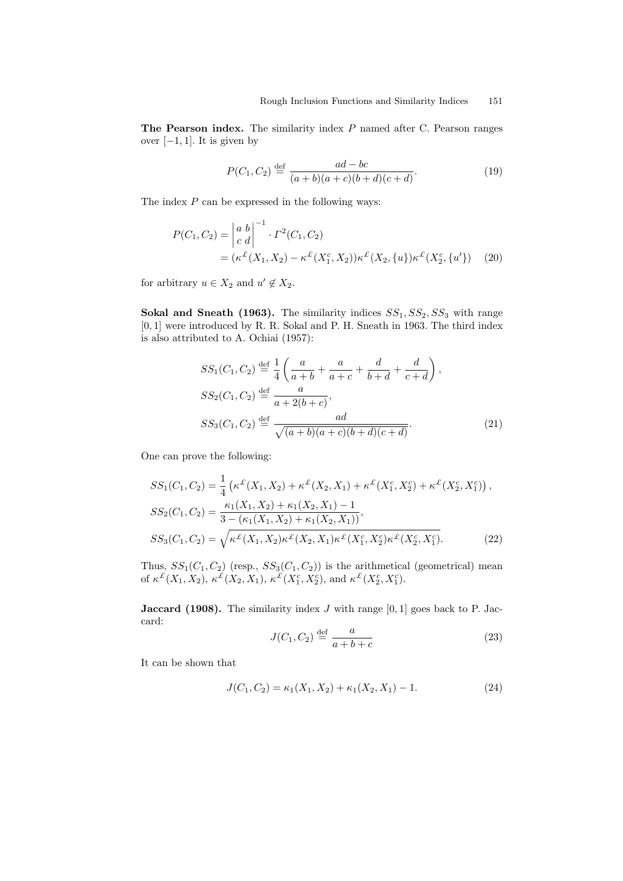The Pearson index. The similarity index P named after C. Pearson ranges over  $[-1, 1]$ . It is given by

$$
P(C_1, C_2) \stackrel{\text{def}}{=} \frac{ad - bc}{(a+b)(a+c)(b+d)(c+d)}.\tag{19}
$$

The index  $P$  can be expressed in the following ways:

$$
P(C_1, C_2) = \begin{vmatrix} a & b \\ c & d \end{vmatrix}^{-1} \cdot \Gamma^2(C_1, C_2)
$$
  
=  $(\kappa^{\mathcal{L}}(X_1, X_2) - \kappa^{\mathcal{L}}(X_1^c, X_2))\kappa^{\mathcal{L}}(X_2, \{u\})\kappa^{\mathcal{L}}(X_2^c, \{u'\})$  (20)

for arbitrary  $u \in X_2$  and  $u' \notin X_2$ .

Sokal and Sneath (1963). The similarity indices  $SS_1, SS_2, SS_3$  with range [0, 1] were introduced by R. R. Sokal and P. H. Sneath in 1963. The third index is also attributed to A. Ochiai (1957):

$$
SS_1(C_1, C_2) \stackrel{\text{def}}{=} \frac{1}{4} \left( \frac{a}{a+b} + \frac{a}{a+c} + \frac{d}{b+d} + \frac{d}{c+d} \right),
$$
  
\n
$$
SS_2(C_1, C_2) \stackrel{\text{def}}{=} \frac{a}{a+2(b+c)},
$$
  
\n
$$
SS_3(C_1, C_2) \stackrel{\text{def}}{=} \frac{ad}{\sqrt{(a+b)(a+c)(b+d)(c+d)}}.
$$
\n(21)

One can prove the following:

$$
SS_1(C_1, C_2) = \frac{1}{4} \left( \kappa^{\mathcal{L}}(X_1, X_2) + \kappa^{\mathcal{L}}(X_2, X_1) + \kappa^{\mathcal{L}}(X_1^c, X_2^c) + \kappa^{\mathcal{L}}(X_2^c, X_1^c) \right),
$$
  
\n
$$
SS_2(C_1, C_2) = \frac{\kappa_1(X_1, X_2) + \kappa_1(X_2, X_1) - 1}{3 - (\kappa_1(X_1, X_2) + \kappa_1(X_2, X_1))},
$$
  
\n
$$
SS_3(C_1, C_2) = \sqrt{\kappa^{\mathcal{L}}(X_1, X_2)\kappa^{\mathcal{L}}(X_2, X_1)\kappa^{\mathcal{L}}(X_1^c, X_2^c)\kappa^{\mathcal{L}}(X_2^c, X_1^c)}.
$$
 (22)

Thus,  $SS_1(C_1, C_2)$  (resp.,  $SS_3(C_1, C_2)$ ) is the arithmetical (geometrical) mean of  $\kappa^{\mathcal{L}}(X_1, X_2)$ ,  $\kappa^{\mathcal{L}}(X_2, X_1)$ ,  $\kappa^{\mathcal{L}}(X_1^c, X_2^c)$ , and  $\kappa^{\mathcal{L}}(X_2^c, X_1^c)$ .

**Jaccard (1908).** The similarity index  $J$  with range  $[0, 1]$  goes back to P. Jaccard:

$$
J(C_1, C_2) \stackrel{\text{def}}{=} \frac{a}{a+b+c} \tag{23}
$$

It can be shown that

$$
J(C_1, C_2) = \kappa_1(X_1, X_2) + \kappa_1(X_2, X_1) - 1.
$$
 (24)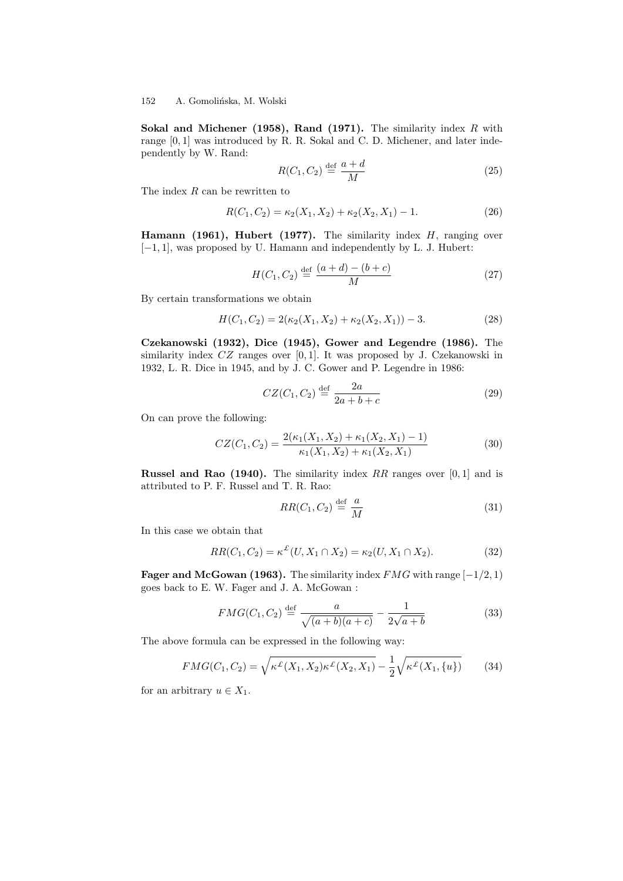Sokal and Michener (1958), Rand (1971). The similarity index  $R$  with range  $[0,1]$  was introduced by R. R. Sokal and C. D. Michener, and later independently by W. Rand:

$$
R(C_1, C_2) \stackrel{\text{def}}{=} \frac{a+d}{M} \tag{25}
$$

The index R can be rewritten to

$$
R(C_1, C_2) = \kappa_2(X_1, X_2) + \kappa_2(X_2, X_1) - 1.
$$
 (26)

Hamann (1961), Hubert (1977). The similarity index  $H$ , ranging over [−1, 1], was proposed by U. Hamann and independently by L. J. Hubert:

$$
H(C_1, C_2) \stackrel{\text{def}}{=} \frac{(a+d) - (b+c)}{M} \tag{27}
$$

By certain transformations we obtain

$$
H(C_1, C_2) = 2(\kappa_2(X_1, X_2) + \kappa_2(X_2, X_1)) - 3.
$$
 (28)

Czekanowski (1932), Dice (1945), Gower and Legendre (1986). The similarity index  $CZ$  ranges over [0, 1]. It was proposed by J. Czekanowski in 1932, L. R. Dice in 1945, and by J. C. Gower and P. Legendre in 1986:

$$
CZ(C_1, C_2) \stackrel{\text{def}}{=} \frac{2a}{2a + b + c} \tag{29}
$$

On can prove the following:

$$
CZ(C_1, C_2) = \frac{2(\kappa_1(X_1, X_2) + \kappa_1(X_2, X_1) - 1)}{\kappa_1(X_1, X_2) + \kappa_1(X_2, X_1)}
$$
(30)

Russel and Rao (1940). The similarity index RR ranges over  $[0, 1]$  and is attributed to P. F. Russel and T. R. Rao:

$$
RR(C_1, C_2) \stackrel{\text{def}}{=} \frac{a}{M} \tag{31}
$$

In this case we obtain that

$$
RR(C_1, C_2) = \kappa^{\mathcal{L}}(U, X_1 \cap X_2) = \kappa_2(U, X_1 \cap X_2). \tag{32}
$$

**Fager and McGowan (1963).** The similarity index  $FMG$  with range  $[-1/2, 1)$ goes back to E. W. Fager and J. A. McGowan :

$$
FMG(C_1, C_2) \stackrel{\text{def}}{=} \frac{a}{\sqrt{(a+b)(a+c)}} - \frac{1}{2\sqrt{a+b}}
$$
(33)

The above formula can be expressed in the following way:

$$
FMG(C_1, C_2) = \sqrt{\kappa^{\mathcal{L}}(X_1, X_2)\kappa^{\mathcal{L}}(X_2, X_1)} - \frac{1}{2}\sqrt{\kappa^{\mathcal{L}}(X_1, \{u\})}
$$
(34)

for an arbitrary  $u \in X_1$ .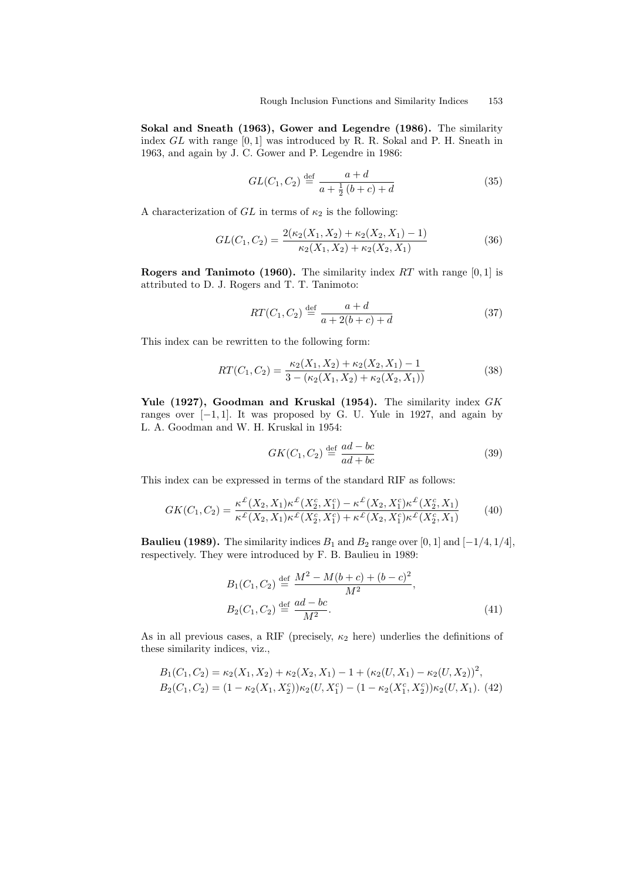Sokal and Sneath (1963), Gower and Legendre (1986). The similarity index  $GL$  with range  $[0, 1]$  was introduced by R. R. Sokal and P. H. Sneath in 1963, and again by J. C. Gower and P. Legendre in 1986:

$$
GL(C_1, C_2) \stackrel{\text{def}}{=} \frac{a+d}{a + \frac{1}{2}(b+c) + d} \tag{35}
$$

A characterization of  $GL$  in terms of  $\kappa_2$  is the following:

$$
GL(C_1, C_2) = \frac{2(\kappa_2(X_1, X_2) + \kappa_2(X_2, X_1) - 1)}{\kappa_2(X_1, X_2) + \kappa_2(X_2, X_1)}
$$
(36)

**Rogers and Tanimoto (1960).** The similarity index  $RT$  with range [0, 1] is attributed to D. J. Rogers and T. T. Tanimoto:

$$
RT(C_1, C_2) \stackrel{\text{def}}{=} \frac{a+d}{a+2(b+c)+d}
$$
 (37)

This index can be rewritten to the following form:

$$
RT(C_1, C_2) = \frac{\kappa_2(X_1, X_2) + \kappa_2(X_2, X_1) - 1}{3 - (\kappa_2(X_1, X_2) + \kappa_2(X_2, X_1))}
$$
(38)

Yule (1927), Goodman and Kruskal (1954). The similarity index GK ranges over  $[-1, 1]$ . It was proposed by G. U. Yule in 1927, and again by L. A. Goodman and W. H. Kruskal in 1954:

$$
GK(C_1, C_2) \stackrel{\text{def}}{=} \frac{ad - bc}{ad + bc} \tag{39}
$$

This index can be expressed in terms of the standard RIF as follows:

$$
GK(C_1, C_2) = \frac{\kappa^{\mathcal{L}}(X_2, X_1)\kappa^{\mathcal{L}}(X_2, X_1^c) - \kappa^{\mathcal{L}}(X_2, X_1^c)\kappa^{\mathcal{L}}(X_2^c, X_1)}{\kappa^{\mathcal{L}}(X_2, X_1)\kappa^{\mathcal{L}}(X_2^c, X_1^c) + \kappa^{\mathcal{L}}(X_2, X_1^c)\kappa^{\mathcal{L}}(X_2^c, X_1)}
$$
(40)

**Baulieu (1989).** The similarity indices  $B_1$  and  $B_2$  range over [0, 1] and [−1/4, 1/4], respectively. They were introduced by F. B. Baulieu in 1989:

$$
B_1(C_1, C_2) \stackrel{\text{def}}{=} \frac{M^2 - M(b+c) + (b-c)^2}{M^2},
$$
  
\n
$$
B_2(C_1, C_2) \stackrel{\text{def}}{=} \frac{ad - bc}{M^2}.
$$
\n(41)

As in all previous cases, a RIF (precisely,  $\kappa_2$  here) underlies the definitions of these similarity indices, viz.,

$$
B_1(C_1, C_2) = \kappa_2(X_1, X_2) + \kappa_2(X_2, X_1) - 1 + (\kappa_2(U, X_1) - \kappa_2(U, X_2))^2,
$$
  
\n
$$
B_2(C_1, C_2) = (1 - \kappa_2(X_1, X_2^c))\kappa_2(U, X_1^c) - (1 - \kappa_2(X_1^c, X_2^c))\kappa_2(U, X_1).
$$
 (42)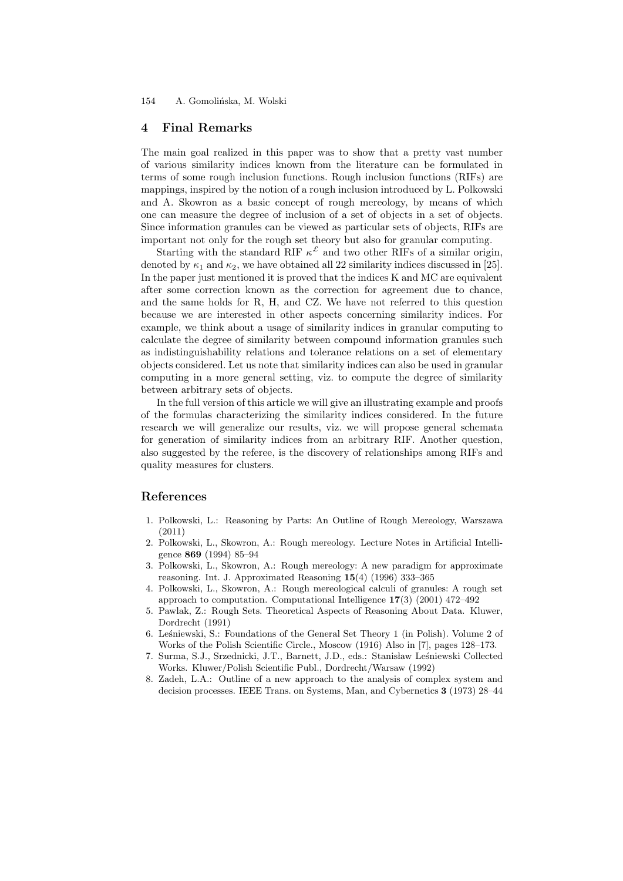# 4 Final Remarks

The main goal realized in this paper was to show that a pretty vast number of various similarity indices known from the literature can be formulated in terms of some rough inclusion functions. Rough inclusion functions (RIFs) are mappings, inspired by the notion of a rough inclusion introduced by L. Polkowski and A. Skowron as a basic concept of rough mereology, by means of which one can measure the degree of inclusion of a set of objects in a set of objects. Since information granules can be viewed as particular sets of objects, RIFs are important not only for the rough set theory but also for granular computing.

Starting with the standard RIF  $\kappa^{\mathcal{L}}$  and two other RIFs of a similar origin, denoted by  $\kappa_1$  and  $\kappa_2$ , we have obtained all 22 similarity indices discussed in [25]. In the paper just mentioned it is proved that the indices K and MC are equivalent after some correction known as the correction for agreement due to chance, and the same holds for R, H, and CZ. We have not referred to this question because we are interested in other aspects concerning similarity indices. For example, we think about a usage of similarity indices in granular computing to calculate the degree of similarity between compound information granules such as indistinguishability relations and tolerance relations on a set of elementary objects considered. Let us note that similarity indices can also be used in granular computing in a more general setting, viz. to compute the degree of similarity between arbitrary sets of objects.

In the full version of this article we will give an illustrating example and proofs of the formulas characterizing the similarity indices considered. In the future research we will generalize our results, viz. we will propose general schemata for generation of similarity indices from an arbitrary RIF. Another question, also suggested by the referee, is the discovery of relationships among RIFs and quality measures for clusters.

# References

- 1. Polkowski, L.: Reasoning by Parts: An Outline of Rough Mereology, Warszawa (2011)
- 2. Polkowski, L., Skowron, A.: Rough mereology. Lecture Notes in Artificial Intelligence 869 (1994) 85–94
- 3. Polkowski, L., Skowron, A.: Rough mereology: A new paradigm for approximate reasoning. Int. J. Approximated Reasoning 15(4) (1996) 333–365
- 4. Polkowski, L., Skowron, A.: Rough mereological calculi of granules: A rough set approach to computation. Computational Intelligence 17(3) (2001) 472–492
- 5. Pawlak, Z.: Rough Sets. Theoretical Aspects of Reasoning About Data. Kluwer, Dordrecht (1991)
- 6. Leśniewski, S.: Foundations of the General Set Theory 1 (in Polish). Volume 2 of Works of the Polish Scientific Circle., Moscow (1916) Also in [7], pages 128–173.
- 7. Surma, S.J., Srzednicki, J.T., Barnett, J.D., eds.: Stanisław Leśniewski Collected Works. Kluwer/Polish Scientific Publ., Dordrecht/Warsaw (1992)
- 8. Zadeh, L.A.: Outline of a new approach to the analysis of complex system and decision processes. IEEE Trans. on Systems, Man, and Cybernetics 3 (1973) 28–44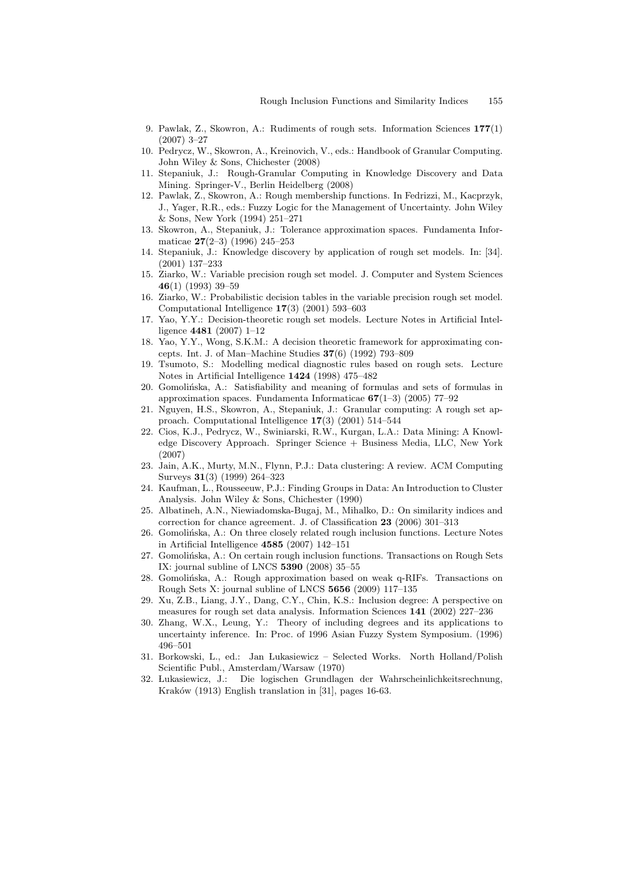- 9. Pawlak, Z., Skowron, A.: Rudiments of rough sets. Information Sciences 177(1) (2007) 3–27
- 10. Pedrycz, W., Skowron, A., Kreinovich, V., eds.: Handbook of Granular Computing. John Wiley & Sons, Chichester (2008)
- 11. Stepaniuk, J.: Rough-Granular Computing in Knowledge Discovery and Data Mining. Springer-V., Berlin Heidelberg (2008)
- 12. Pawlak, Z., Skowron, A.: Rough membership functions. In Fedrizzi, M., Kacprzyk, J., Yager, R.R., eds.: Fuzzy Logic for the Management of Uncertainty. John Wiley & Sons, New York (1994) 251–271
- 13. Skowron, A., Stepaniuk, J.: Tolerance approximation spaces. Fundamenta Informaticae 27(2–3) (1996) 245–253
- 14. Stepaniuk, J.: Knowledge discovery by application of rough set models. In: [34]. (2001) 137–233
- 15. Ziarko, W.: Variable precision rough set model. J. Computer and System Sciences 46(1) (1993) 39–59
- 16. Ziarko, W.: Probabilistic decision tables in the variable precision rough set model. Computational Intelligence 17(3) (2001) 593–603
- 17. Yao, Y.Y.: Decision-theoretic rough set models. Lecture Notes in Artificial Intelligence 4481 (2007) 1–12
- 18. Yao, Y.Y., Wong, S.K.M.: A decision theoretic framework for approximating concepts. Int. J. of Man–Machine Studies 37(6) (1992) 793–809
- 19. Tsumoto, S.: Modelling medical diagnostic rules based on rough sets. Lecture Notes in Artificial Intelligence 1424 (1998) 475–482
- 20. Gomolinska, A.: Satisfiability and meaning of formulas and sets of formulas in approximation spaces. Fundamenta Informaticae  $67(1-3)$  (2005) 77–92
- 21. Nguyen, H.S., Skowron, A., Stepaniuk, J.: Granular computing: A rough set approach. Computational Intelligence 17(3) (2001) 514–544
- 22. Cios, K.J., Pedrycz, W., Swiniarski, R.W., Kurgan, L.A.: Data Mining: A Knowledge Discovery Approach. Springer Science + Business Media, LLC, New York (2007)
- 23. Jain, A.K., Murty, M.N., Flynn, P.J.: Data clustering: A review. ACM Computing Surveys 31(3) (1999) 264–323
- 24. Kaufman, L., Rousseeuw, P.J.: Finding Groups in Data: An Introduction to Cluster Analysis. John Wiley & Sons, Chichester (1990)
- 25. Albatineh, A.N., Niewiadomska-Bugaj, M., Mihalko, D.: On similarity indices and correction for chance agreement. J. of Classification 23 (2006) 301–313
- 26. Gomolinska, A.: On three closely related rough inclusion functions. Lecture Notes in Artificial Intelligence 4585 (2007) 142–151
- 27. Gomolińska, A.: On certain rough inclusion functions. Transactions on Rough Sets IX: journal subline of LNCS 5390 (2008) 35–55
- Gomolińska, A.: Rough approximation based on weak q-RIFs. Transactions on Rough Sets X: journal subline of LNCS 5656 (2009) 117–135
- 29. Xu, Z.B., Liang, J.Y., Dang, C.Y., Chin, K.S.: Inclusion degree: A perspective on measures for rough set data analysis. Information Sciences 141 (2002) 227–236
- 30. Zhang, W.X., Leung, Y.: Theory of including degrees and its applications to uncertainty inference. In: Proc. of 1996 Asian Fuzzy System Symposium. (1996) 496–501
- 31. Borkowski, L., ed.: Jan Lukasiewicz Selected Works. North Holland/Polish Scientific Publ., Amsterdam/Warsaw (1970)
- 32. Lukasiewicz, J.: Die logischen Grundlagen der Wahrscheinlichkeitsrechnung, Kraków (1913) English translation in [31], pages 16-63.